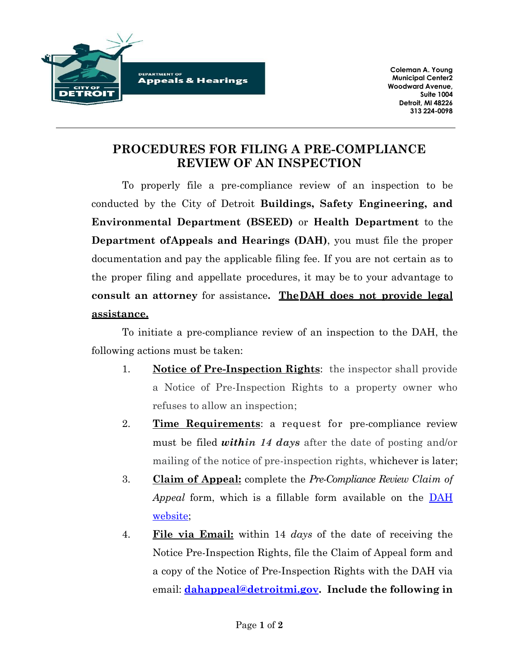

**Coleman A. Young Municipal Center2 Woodward Avenue, Suite 1004 Detroit, MI 48226 313 224-0098**

## **PROCEDURES FOR FILING A PRE-COMPLIANCE REVIEW OF AN INSPECTION**

To properly file a pre-compliance review of an inspection to be conducted by the City of Detroit **Buildings, Safety Engineering, and Environmental Department (BSEED)** or **Health Department** to the **Department ofAppeals and Hearings (DAH)**, you must file the proper documentation and pay the applicable filing fee. If you are not certain as to the proper filing and appellate procedures, it may be to your advantage to **consult an attorney** for assistance**. TheDAH does not provide legal assistance.**

To initiate a pre-compliance review of an inspection to the DAH, the following actions must be taken:

- 1. **Notice of Pre-Inspection Rights**: the inspector shall provide a Notice of Pre-Inspection Rights to a property owner who refuses to allow an inspection;
- 2. **Time Requirements**: a request for pre-compliance review must be filed *within 14 days* after the date of posting and/or mailing of the notice of pre-inspection rights, whichever is later;
- 3. **Claim of [Appeal:](https://detroitmi.gov/sites/detroitmi.localhost/files/forms/2022-03/Claim%20of%20Appeal%20Form%20%E2%80%93%20BSEED%20Medical%20Marijuana%20Facility%20License%20Denial.pdf)** complete the *Pre-Compliance Review Claim of Appeal* form, which is a fillable form available on the [DAH](http://www.detroitmi.gov/dah) [website;](http://www.detroitmi.gov/dah)
- 4. **File via Email:** within 14 *days* of the date of receiving the Notice Pre-Inspection Rights, file the Claim of Appeal form and a copy of the Notice of Pre-Inspection Rights with the DAH via email: **[dahappeal@detroitmi.gov.](mailto:dahappeal@detroitmi.gov) Include the following in**